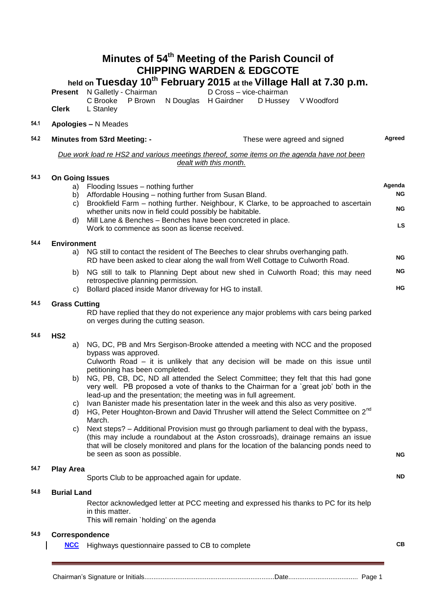# **Minutes of 54th Meeting of the Parish Council of CHIPPING WARDEN & EDGCOTE**

## **held on Tuesday 10 th February 2015 at the Village Hall at 7.30 p.m.**

**Present** N Galletly - Chairman D Cross – vice-chairman C Brooke P Brown N Douglas H Gairdner D Hussey V Woodford C Brooke P Brown N Douglas H Gairdner

### **54.1 Apologies –** N Meades

**Clerk** L Stanley

| 54.2 |                                                                                                                                                       | Minutes from 53rd Meeting: -                                                                                                                                                                                                                                           | These were agreed and signed                                                                                                                                                                                                                                                                                                                                                                                                                                                                                                                                                                                                                                                                                                                                                                                                | Agreed                                 |
|------|-------------------------------------------------------------------------------------------------------------------------------------------------------|------------------------------------------------------------------------------------------------------------------------------------------------------------------------------------------------------------------------------------------------------------------------|-----------------------------------------------------------------------------------------------------------------------------------------------------------------------------------------------------------------------------------------------------------------------------------------------------------------------------------------------------------------------------------------------------------------------------------------------------------------------------------------------------------------------------------------------------------------------------------------------------------------------------------------------------------------------------------------------------------------------------------------------------------------------------------------------------------------------------|----------------------------------------|
|      |                                                                                                                                                       |                                                                                                                                                                                                                                                                        | Due work load re HS2 and various meetings thereof, some items on the agenda have not been<br>dealt with this month.                                                                                                                                                                                                                                                                                                                                                                                                                                                                                                                                                                                                                                                                                                         |                                        |
| 54.3 | <b>On Going Issues</b><br>a)<br>b)<br>C)<br>d)                                                                                                        | Flooding Issues - nothing further<br>Affordable Housing - nothing further from Susan Bland.<br>whether units now in field could possibly be habitable.<br>Mill Lane & Benches - Benches have been concreted in place.<br>Work to commence as soon as license received. | Brookfield Farm – nothing further. Neighbour, K Clarke, to be approached to ascertain                                                                                                                                                                                                                                                                                                                                                                                                                                                                                                                                                                                                                                                                                                                                       | Agenda<br>ΝG<br><b>NG</b><br><b>LS</b> |
| 54.4 | <b>Environment</b><br>a)<br>b)<br>C)                                                                                                                  | retrospective planning permission.<br>Bollard placed inside Manor driveway for HG to install.                                                                                                                                                                          | NG still to contact the resident of The Beeches to clear shrubs overhanging path.<br>RD have been asked to clear along the wall from Well Cottage to Culworth Road.<br>NG still to talk to Planning Dept about new shed in Culworth Road; this may need                                                                                                                                                                                                                                                                                                                                                                                                                                                                                                                                                                     | ΝG<br>ΝG<br>HG                         |
| 54.5 | <b>Grass Cutting</b><br>RD have replied that they do not experience any major problems with cars being parked<br>on verges during the cutting season. |                                                                                                                                                                                                                                                                        |                                                                                                                                                                                                                                                                                                                                                                                                                                                                                                                                                                                                                                                                                                                                                                                                                             |                                        |
| 54.6 | HS <sub>2</sub><br>a)<br>b)<br>C)<br>d)<br>C)                                                                                                         | bypass was approved.<br>petitioning has been completed.<br>lead-up and the presentation; the meeting was in full agreement.<br>March.<br>be seen as soon as possible.                                                                                                  | NG, DC, PB and Mrs Sergison-Brooke attended a meeting with NCC and the proposed<br>Culworth Road – it is unlikely that any decision will be made on this issue until<br>NG, PB, CB, DC, ND all attended the Select Committee; they felt that this had gone<br>very well. PB proposed a vote of thanks to the Chairman for a 'great job' both in the<br>Ivan Banister made his presentation later in the week and this also as very positive.<br>HG, Peter Houghton-Brown and David Thrusher will attend the Select Committee on 2 <sup>nd</sup><br>Next steps? - Additional Provision must go through parliament to deal with the bypass,<br>(this may include a roundabout at the Aston crossroads), drainage remains an issue<br>that will be closely monitored and plans for the location of the balancing ponds need to | <b>NG</b>                              |
| 54.7 | <b>Play Area</b>                                                                                                                                      | Sports Club to be approached again for update.                                                                                                                                                                                                                         |                                                                                                                                                                                                                                                                                                                                                                                                                                                                                                                                                                                                                                                                                                                                                                                                                             | ND                                     |
| 54.8 | <b>Burial Land</b>                                                                                                                                    | in this matter.<br>This will remain 'holding' on the agenda                                                                                                                                                                                                            | Rector acknowledged letter at PCC meeting and expressed his thanks to PC for its help                                                                                                                                                                                                                                                                                                                                                                                                                                                                                                                                                                                                                                                                                                                                       |                                        |
| 54.9 | Correspondence                                                                                                                                        | <b>NCC</b> Highways questionnaire passed to CB to complete                                                                                                                                                                                                             |                                                                                                                                                                                                                                                                                                                                                                                                                                                                                                                                                                                                                                                                                                                                                                                                                             | CВ                                     |